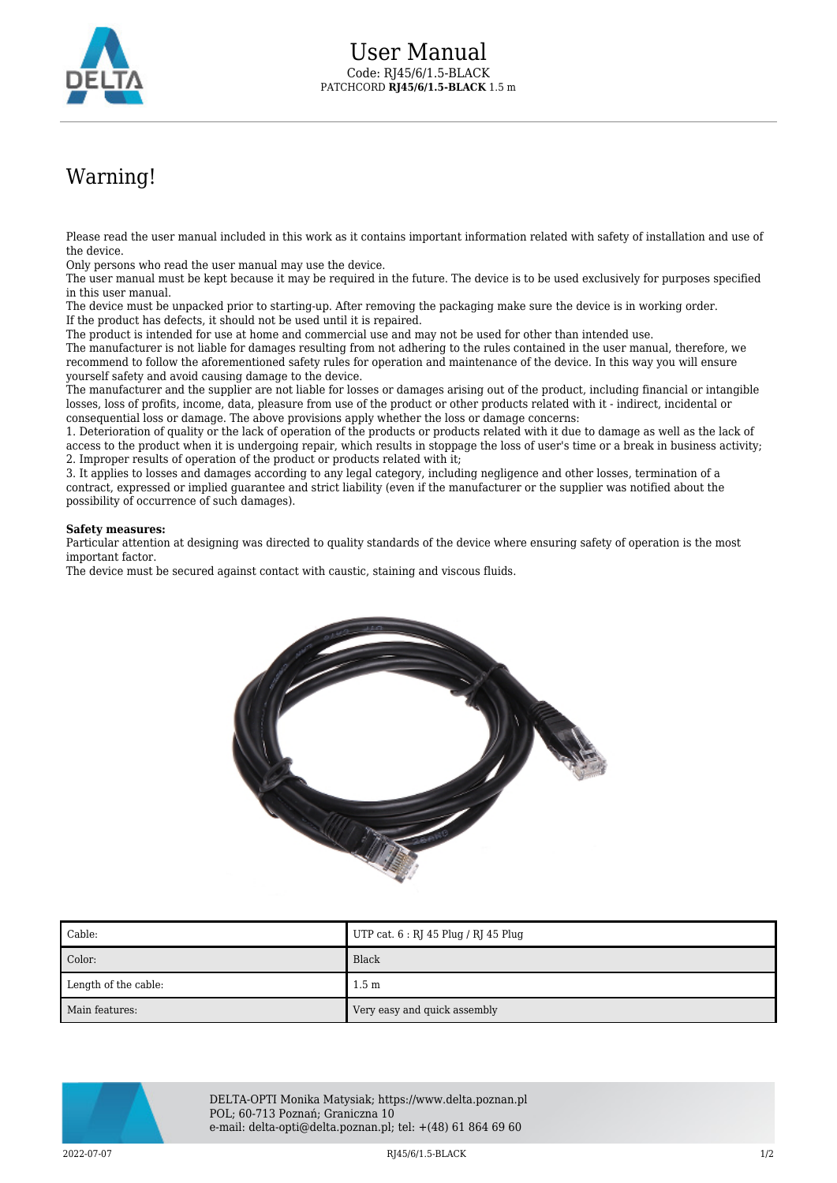

## Warning!

Please read the user manual included in this work as it contains important information related with safety of installation and use of the device.

Only persons who read the user manual may use the device.

The user manual must be kept because it may be required in the future. The device is to be used exclusively for purposes specified in this user manual.

The device must be unpacked prior to starting-up. After removing the packaging make sure the device is in working order. If the product has defects, it should not be used until it is repaired.

The product is intended for use at home and commercial use and may not be used for other than intended use.

The manufacturer is not liable for damages resulting from not adhering to the rules contained in the user manual, therefore, we recommend to follow the aforementioned safety rules for operation and maintenance of the device. In this way you will ensure yourself safety and avoid causing damage to the device.

The manufacturer and the supplier are not liable for losses or damages arising out of the product, including financial or intangible losses, loss of profits, income, data, pleasure from use of the product or other products related with it - indirect, incidental or consequential loss or damage. The above provisions apply whether the loss or damage concerns:

1. Deterioration of quality or the lack of operation of the products or products related with it due to damage as well as the lack of access to the product when it is undergoing repair, which results in stoppage the loss of user's time or a break in business activity; 2. Improper results of operation of the product or products related with it;

3. It applies to losses and damages according to any legal category, including negligence and other losses, termination of a contract, expressed or implied guarantee and strict liability (even if the manufacturer or the supplier was notified about the possibility of occurrence of such damages).

## **Safety measures:**

Particular attention at designing was directed to quality standards of the device where ensuring safety of operation is the most important factor.

The device must be secured against contact with caustic, staining and viscous fluids.



| $\blacksquare$ Cable: | UTP cat. 6 : RJ 45 Plug / RJ 45 Plug |
|-----------------------|--------------------------------------|
| Color:                | Black                                |
| Length of the cable:  | 1.5 <sub>m</sub>                     |
| Main features:        | Very easy and quick assembly         |



DELTA-OPTI Monika Matysiak; https://www.delta.poznan.pl POL; 60-713 Poznań; Graniczna 10 e-mail: delta-opti@delta.poznan.pl; tel: +(48) 61 864 69 60